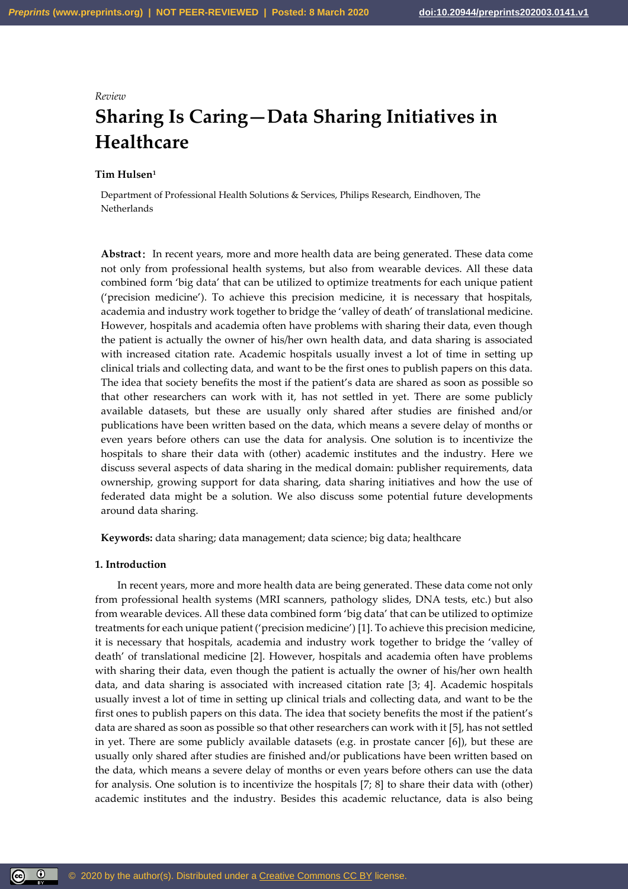# *Review*

# **Sharing Is Caring—Data Sharing Initiatives in Healthcare**

# **Tim Hulsen<sup>1</sup>**

Department of Professional Health Solutions & Services, Philips Research, Eindhoven, The **Netherlands** 

**Abstract**: In recent years, more and more health data are being generated. These data come not only from professional health systems, but also from wearable devices. All these data combined form 'big data' that can be utilized to optimize treatments for each unique patient ('precision medicine'). To achieve this precision medicine, it is necessary that hospitals, academia and industry work together to bridge the 'valley of death' of translational medicine. However, hospitals and academia often have problems with sharing their data, even though the patient is actually the owner of his/her own health data, and data sharing is associated with increased citation rate. Academic hospitals usually invest a lot of time in setting up clinical trials and collecting data, and want to be the first ones to publish papers on this data. The idea that society benefits the most if the patient's data are shared as soon as possible so that other researchers can work with it, has not settled in yet. There are some publicly available datasets, but these are usually only shared after studies are finished and/or publications have been written based on the data, which means a severe delay of months or even years before others can use the data for analysis. One solution is to incentivize the hospitals to share their data with (other) academic institutes and the industry. Here we discuss several aspects of data sharing in the medical domain: publisher requirements, data ownership, growing support for data sharing, data sharing initiatives and how the use of federated data might be a solution. We also discuss some potential future developments around data sharing.

**Keywords:** data sharing; data management; data science; big data; healthcare

## **1. Introduction**

 $\circledcirc$ 

In recent years, more and more health data are being generated. These data come not only from professional health systems (MRI scanners, pathology slides, DNA tests, etc.) but also from wearable devices. All these data combined form 'big data' that can be utilized to optimize treatments for each unique patient ('precision medicine') [1]. To achieve this precision medicine, it is necessary that hospitals, academia and industry work together to bridge the 'valley of death' of translational medicine [2]. However, hospitals and academia often have problems with sharing their data, even though the patient is actually the owner of his/her own health data, and data sharing is associated with increased citation rate [3; 4]. Academic hospitals usually invest a lot of time in setting up clinical trials and collecting data, and want to be the first ones to publish papers on this data. The idea that society benefits the most if the patient's data are shared as soon as possible so that other researchers can work with it [5], has not settled in yet. There are some publicly available datasets (e.g. in prostate cancer [6]), but these are usually only shared after studies are finished and/or publications have been written based on the data, which means a severe delay of months or even years before others can use the data for analysis. One solution is to incentivize the hospitals [7; 8] to share their data with (other) academic institutes and the industry. Besides this academic reluctance, data is also being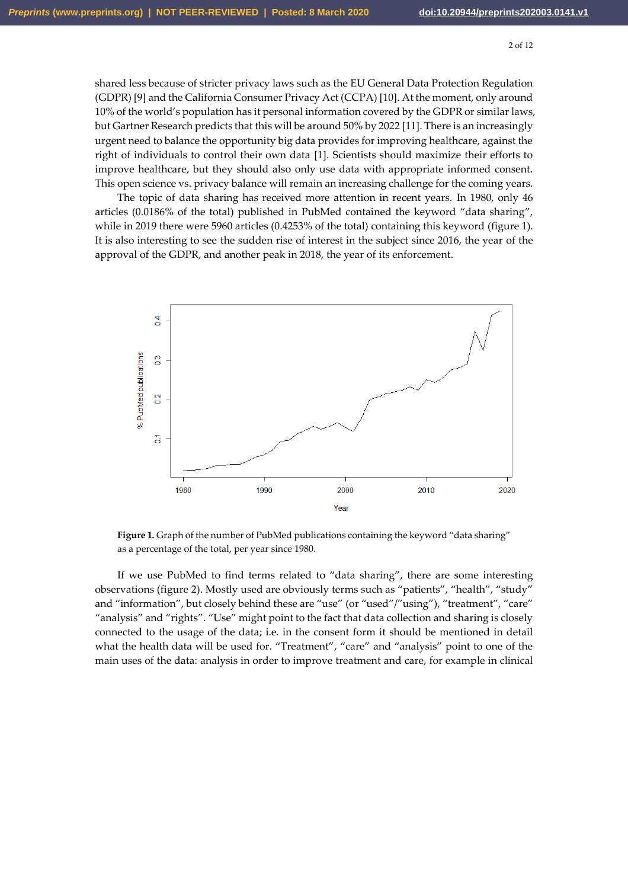shared less because of stricter privacy laws such as the EU General Data Protection Regulation (GDPR) [9] and the California Consumer Privacy Act (CCPA) [10]. At the moment, only around 10% of the world's population has it personal information covered by the GDPR or similar laws, but Gartner Research predicts that this will be around 50% by 2022 [11]. There is an increasingly urgent need to balance the opportunity big data provides for improving healthcare, against the right of individuals to control their own data [1]. Scientists should maximize their efforts to improve healthcare, but they should also only use data with appropriate informed consent. This open science vs. privacy balance will remain an increasing challenge for the coming years.

The topic of data sharing has received more attention in recent years. In 1980, only 46 articles (0.0186% of the total) published in PubMed contained the keyword "data sharing", while in 2019 there were 5960 articles (0.4253% of the total) containing this keyword (figure 1). It is also interesting to see the sudden rise of interest in the subject since 2016, the year of the approval of the GDPR, and another peak in 2018, the year of its enforcement.



Figure 1. Graph of the number of PubMed publications containing the keyword "data sharing" as a percentage of the total, per year since 1980.

If we use PubMed to find terms related to "data sharing", there are some interesting observations (figure 2). Mostly used are obviously terms such as "patients", "health", "study" and "information", but closely behind these are "use" (or "used"/"using"), "treatment", "care" "analysis" and "rights". "Use" might point to the fact that data collection and sharing is closely connected to the usage of the data; i.e. in the consent form it should be mentioned in detail what the health data will be used for. "Treatment", "care" and "analysis" point to one of the main uses of the data: analysis in order to improve treatment and care, for example in clinical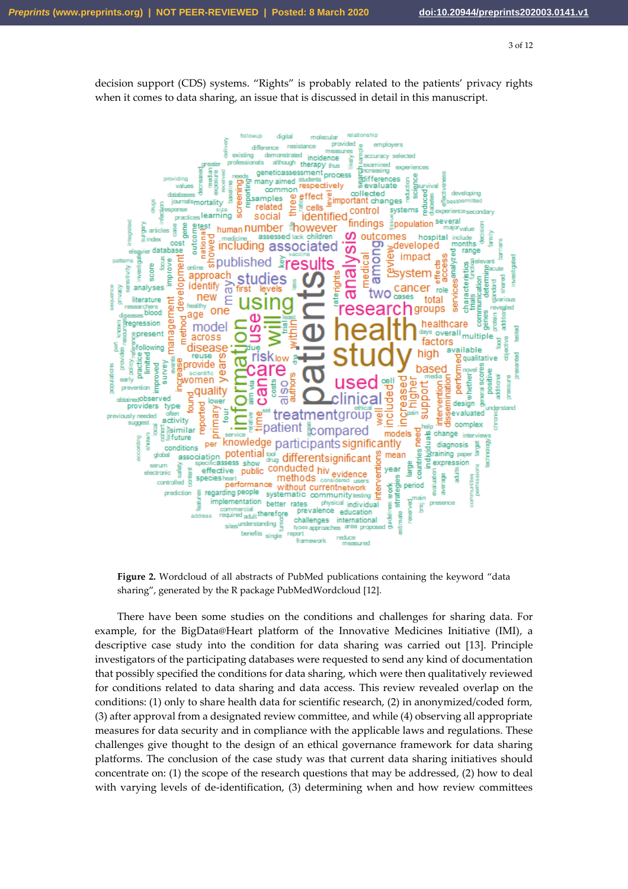decision support (CDS) systems. "Rights" is probably related to the patients' privacy rights when it comes to data sharing, an issue that is discussed in detail in this manuscript.



**Figure 2.** Wordcloud of all abstracts of PubMed publications containing the keyword "data sharing", generated by the R package PubMedWordcloud [12].

There have been some studies on the conditions and challenges for sharing data. For example, for the BigData@Heart platform of the Innovative Medicines Initiative (IMI), a descriptive case study into the condition for data sharing was carried out [13]. Principle investigators of the participating databases were requested to send any kind of documentation that possibly specified the conditions for data sharing, which were then qualitatively reviewed for conditions related to data sharing and data access. This review revealed overlap on the conditions: (1) only to share health data for scientific research, (2) in anonymized/coded form, (3) after approval from a designated review committee, and while (4) observing all appropriate measures for data security and in compliance with the applicable laws and regulations. These challenges give thought to the design of an ethical governance framework for data sharing platforms. The conclusion of the case study was that current data sharing initiatives should concentrate on: (1) the scope of the research questions that may be addressed, (2) how to deal with varying levels of de-identification, (3) determining when and how review committees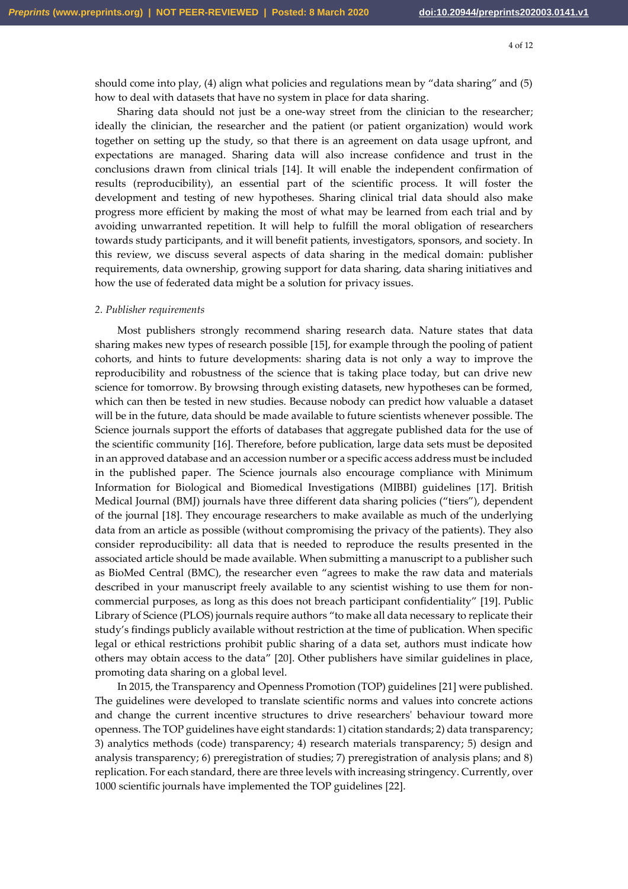should come into play, (4) align what policies and regulations mean by "data sharing" and (5) how to deal with datasets that have no system in place for data sharing.

Sharing data should not just be a one-way street from the clinician to the researcher; ideally the clinician, the researcher and the patient (or patient organization) would work together on setting up the study, so that there is an agreement on data usage upfront, and expectations are managed. Sharing data will also increase confidence and trust in the conclusions drawn from clinical trials [14]. It will enable the independent confirmation of results (reproducibility), an essential part of the scientific process. It will foster the development and testing of new hypotheses. Sharing clinical trial data should also make progress more efficient by making the most of what may be learned from each trial and by avoiding unwarranted repetition. It will help to fulfill the moral obligation of researchers towards study participants, and it will benefit patients, investigators, sponsors, and society. In this review, we discuss several aspects of data sharing in the medical domain: publisher requirements, data ownership, growing support for data sharing, data sharing initiatives and how the use of federated data might be a solution for privacy issues.

#### *2. Publisher requirements*

Most publishers strongly recommend sharing research data. Nature states that data sharing makes new types of research possible [15], for example through the pooling of patient cohorts, and hints to future developments: sharing data is not only a way to improve the reproducibility and robustness of the science that is taking place today, but can drive new science for tomorrow. By browsing through existing datasets, new hypotheses can be formed, which can then be tested in new studies. Because nobody can predict how valuable a dataset will be in the future, data should be made available to future scientists whenever possible. The Science journals support the efforts of databases that aggregate published data for the use of the scientific community [16]. Therefore, before publication, large data sets must be deposited in an approved database and an accession number or a specific access address must be included in the published paper. The Science journals also encourage compliance with Minimum Information for Biological and Biomedical Investigations (MIBBI) guidelines [17]. British Medical Journal (BMJ) journals have three different data sharing policies ("tiers"), dependent of the journal [18]. They encourage researchers to make available as much of the underlying data from an article as possible (without compromising the privacy of the patients). They also consider reproducibility: all data that is needed to reproduce the results presented in the associated article should be made available. When submitting a manuscript to a publisher such as BioMed Central (BMC), the researcher even "agrees to make the raw data and materials described in your manuscript freely available to any scientist wishing to use them for noncommercial purposes, as long as this does not breach participant confidentiality" [19]. Public Library of Science (PLOS) journals require authors "to make all data necessary to replicate their study's findings publicly available without restriction at the time of publication. When specific legal or ethical restrictions prohibit public sharing of a data set, authors must indicate how others may obtain access to the data" [20]. Other publishers have similar guidelines in place, promoting data sharing on a global level.

In 2015, the Transparency and Openness Promotion (TOP) guidelines [21] were published. The guidelines were developed to translate scientific norms and values into concrete actions and change the current incentive structures to drive researchers' behaviour toward more openness. The TOP guidelines have eight standards: 1) citation standards; 2) data transparency; 3) analytics methods (code) transparency; 4) research materials transparency; 5) design and analysis transparency; 6) preregistration of studies; 7) preregistration of analysis plans; and 8) replication. For each standard, there are three levels with increasing stringency. Currently, over 1000 scientific journals have implemented the TOP guidelines [22].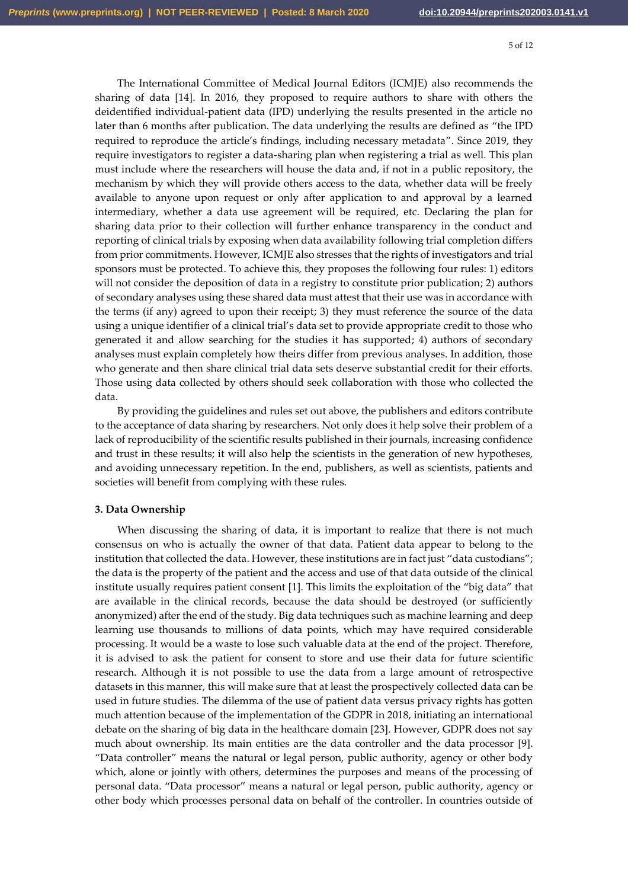The International Committee of Medical Journal Editors (ICMJE) also recommends the sharing of data [14]. In 2016, they proposed to require authors to share with others the deidentified individual-patient data (IPD) underlying the results presented in the article no later than 6 months after publication. The data underlying the results are defined as "the IPD required to reproduce the article's findings, including necessary metadata". Since 2019, they require investigators to register a data-sharing plan when registering a trial as well. This plan must include where the researchers will house the data and, if not in a public repository, the mechanism by which they will provide others access to the data, whether data will be freely available to anyone upon request or only after application to and approval by a learned intermediary, whether a data use agreement will be required, etc. Declaring the plan for sharing data prior to their collection will further enhance transparency in the conduct and reporting of clinical trials by exposing when data availability following trial completion differs from prior commitments. However, ICMJE also stresses that the rights of investigators and trial sponsors must be protected. To achieve this, they proposes the following four rules: 1) editors will not consider the deposition of data in a registry to constitute prior publication; 2) authors of secondary analyses using these shared data must attest that their use was in accordance with the terms (if any) agreed to upon their receipt; 3) they must reference the source of the data using a unique identifier of a clinical trial's data set to provide appropriate credit to those who generated it and allow searching for the studies it has supported; 4) authors of secondary analyses must explain completely how theirs differ from previous analyses. In addition, those who generate and then share clinical trial data sets deserve substantial credit for their efforts. Those using data collected by others should seek collaboration with those who collected the data.

By providing the guidelines and rules set out above, the publishers and editors contribute to the acceptance of data sharing by researchers. Not only does it help solve their problem of a lack of reproducibility of the scientific results published in their journals, increasing confidence and trust in these results; it will also help the scientists in the generation of new hypotheses, and avoiding unnecessary repetition. In the end, publishers, as well as scientists, patients and societies will benefit from complying with these rules.

## **3. Data Ownership**

When discussing the sharing of data, it is important to realize that there is not much consensus on who is actually the owner of that data. Patient data appear to belong to the institution that collected the data. However, these institutions are in fact just "data custodians"; the data is the property of the patient and the access and use of that data outside of the clinical institute usually requires patient consent [1]. This limits the exploitation of the "big data" that are available in the clinical records, because the data should be destroyed (or sufficiently anonymized) after the end of the study. Big data techniques such as machine learning and deep learning use thousands to millions of data points, which may have required considerable processing. It would be a waste to lose such valuable data at the end of the project. Therefore, it is advised to ask the patient for consent to store and use their data for future scientific research. Although it is not possible to use the data from a large amount of retrospective datasets in this manner, this will make sure that at least the prospectively collected data can be used in future studies. The dilemma of the use of patient data versus privacy rights has gotten much attention because of the implementation of the GDPR in 2018, initiating an international debate on the sharing of big data in the healthcare domain [23]. However, GDPR does not say much about ownership. Its main entities are the data controller and the data processor [9]. "Data controller" means the natural or legal person, public authority, agency or other body which, alone or jointly with others, determines the purposes and means of the processing of personal data. "Data processor" means a natural or legal person, public authority, agency or other body which processes personal data on behalf of the controller. In countries outside of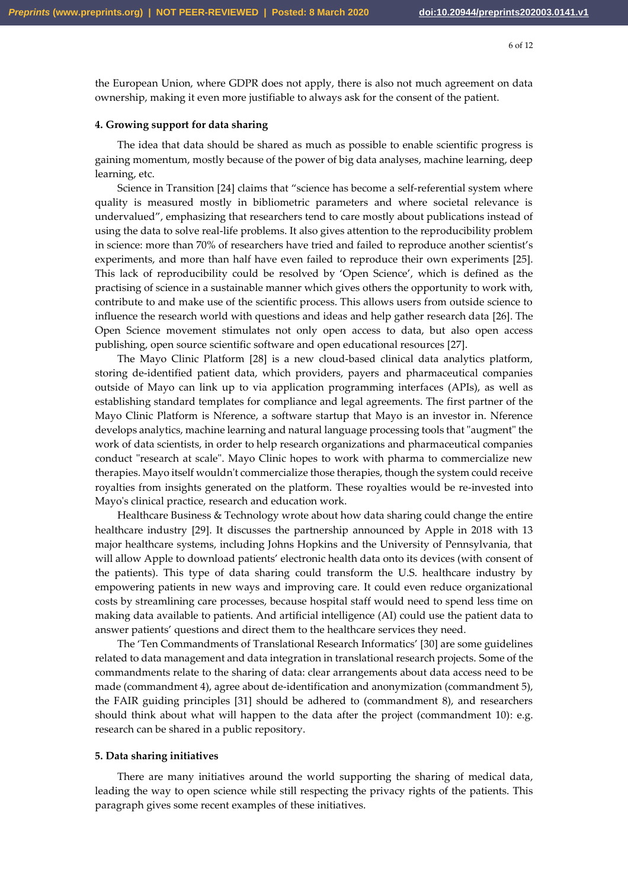the European Union, where GDPR does not apply, there is also not much agreement on data ownership, making it even more justifiable to always ask for the consent of the patient.

# **4. Growing support for data sharing**

The idea that data should be shared as much as possible to enable scientific progress is gaining momentum, mostly because of the power of big data analyses, machine learning, deep learning, etc.

Science in Transition [24] claims that "science has become a self-referential system where quality is measured mostly in bibliometric parameters and where societal relevance is undervalued", emphasizing that researchers tend to care mostly about publications instead of using the data to solve real-life problems. It also gives attention to the reproducibility problem in science: more than 70% of researchers have tried and failed to reproduce another scientist's experiments, and more than half have even failed to reproduce their own experiments [25]. This lack of reproducibility could be resolved by 'Open Science', which is defined as the practising of science in a sustainable manner which gives others the opportunity to work with, contribute to and make use of the scientific process. This allows users from outside science to influence the research world with questions and ideas and help gather research data [26]. The Open Science movement stimulates not only open access to data, but also open access publishing, open source scientific software and open educational resources [27].

The Mayo Clinic Platform [28] is a new cloud-based clinical data analytics platform, storing de-identified patient data, which providers, payers and pharmaceutical companies outside of Mayo can link up to via application programming interfaces (APIs), as well as establishing standard templates for compliance and legal agreements. The first partner of the Mayo Clinic Platform is Nference, a software startup that Mayo is an investor in. Nference develops analytics, machine learning and natural language processing tools that "augment" the work of data scientists, in order to help research organizations and pharmaceutical companies conduct "research at scale". Mayo Clinic hopes to work with pharma to commercialize new therapies. Mayo itself wouldn't commercialize those therapies, though the system could receive royalties from insights generated on the platform. These royalties would be re-invested into Mayo's clinical practice, research and education work.

Healthcare Business & Technology wrote about how data sharing could change the entire healthcare industry [29]. It discusses the partnership announced by Apple in 2018 with 13 major healthcare systems, including Johns Hopkins and the University of Pennsylvania, that will allow Apple to download patients' electronic health data onto its devices (with consent of the patients). This type of data sharing could transform the U.S. healthcare industry by empowering patients in new ways and improving care. It could even reduce organizational costs by streamlining care processes, because hospital staff would need to spend less time on making data available to patients. And artificial intelligence (AI) could use the patient data to answer patients' questions and direct them to the healthcare services they need.

The 'Ten Commandments of Translational Research Informatics' [30] are some guidelines related to data management and data integration in translational research projects. Some of the commandments relate to the sharing of data: clear arrangements about data access need to be made (commandment 4), agree about de-identification and anonymization (commandment 5), the FAIR guiding principles [31] should be adhered to (commandment 8), and researchers should think about what will happen to the data after the project (commandment 10): e.g. research can be shared in a public repository.

# **5. Data sharing initiatives**

There are many initiatives around the world supporting the sharing of medical data, leading the way to open science while still respecting the privacy rights of the patients. This paragraph gives some recent examples of these initiatives.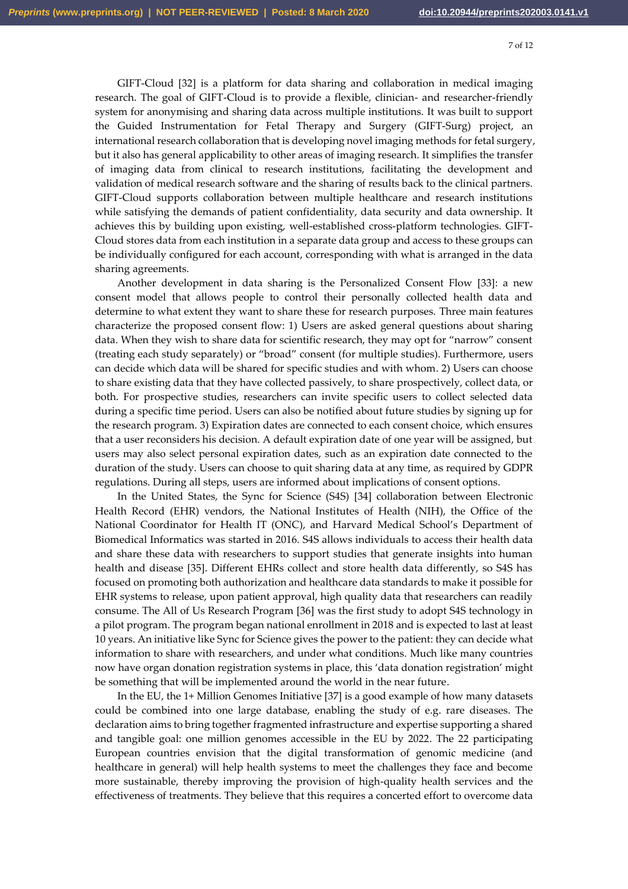GIFT-Cloud [32] is a platform for data sharing and collaboration in medical imaging research. The goal of GIFT-Cloud is to provide a flexible, clinician- and researcher-friendly system for anonymising and sharing data across multiple institutions. It was built to support the Guided Instrumentation for Fetal Therapy and Surgery (GIFT-Surg) project, an international research collaboration that is developing novel imaging methods for fetal surgery, but it also has general applicability to other areas of imaging research. It simplifies the transfer of imaging data from clinical to research institutions, facilitating the development and validation of medical research software and the sharing of results back to the clinical partners. GIFT-Cloud supports collaboration between multiple healthcare and research institutions while satisfying the demands of patient confidentiality, data security and data ownership. It achieves this by building upon existing, well-established cross-platform technologies. GIFT-Cloud stores data from each institution in a separate data group and access to these groups can be individually configured for each account, corresponding with what is arranged in the data sharing agreements.

Another development in data sharing is the Personalized Consent Flow [33]: a new consent model that allows people to control their personally collected health data and determine to what extent they want to share these for research purposes. Three main features characterize the proposed consent flow: 1) Users are asked general questions about sharing data. When they wish to share data for scientific research, they may opt for "narrow" consent (treating each study separately) or "broad" consent (for multiple studies). Furthermore, users can decide which data will be shared for specific studies and with whom. 2) Users can choose to share existing data that they have collected passively, to share prospectively, collect data, or both. For prospective studies, researchers can invite specific users to collect selected data during a specific time period. Users can also be notified about future studies by signing up for the research program. 3) Expiration dates are connected to each consent choice, which ensures that a user reconsiders his decision. A default expiration date of one year will be assigned, but users may also select personal expiration dates, such as an expiration date connected to the duration of the study. Users can choose to quit sharing data at any time, as required by GDPR regulations. During all steps, users are informed about implications of consent options.

In the United States, the Sync for Science (S4S) [34] collaboration between Electronic Health Record (EHR) vendors, the National Institutes of Health (NIH), the Office of the National Coordinator for Health IT (ONC), and Harvard Medical School's Department of Biomedical Informatics was started in 2016. S4S allows individuals to access their health data and share these data with researchers to support studies that generate insights into human health and disease [35]. Different EHRs collect and store health data differently, so S4S has focused on promoting both authorization and healthcare data standards to make it possible for EHR systems to release, upon patient approval, high quality data that researchers can readily consume. The All of Us Research Program [36] was the first study to adopt S4S technology in a pilot program. The program began national enrollment in 2018 and is expected to last at least 10 years. An initiative like Sync for Science gives the power to the patient: they can decide what information to share with researchers, and under what conditions. Much like many countries now have organ donation registration systems in place, this 'data donation registration' might be something that will be implemented around the world in the near future.

In the EU, the 1+ Million Genomes Initiative [37] is a good example of how many datasets could be combined into one large database, enabling the study of e.g. rare diseases. The declaration aims to bring together fragmented infrastructure and expertise supporting a shared and tangible goal: one million genomes accessible in the EU by 2022. The 22 participating European countries envision that the digital transformation of genomic medicine (and healthcare in general) will help health systems to meet the challenges they face and become more sustainable, thereby improving the provision of high-quality health services and the effectiveness of treatments. They believe that this requires a concerted effort to overcome data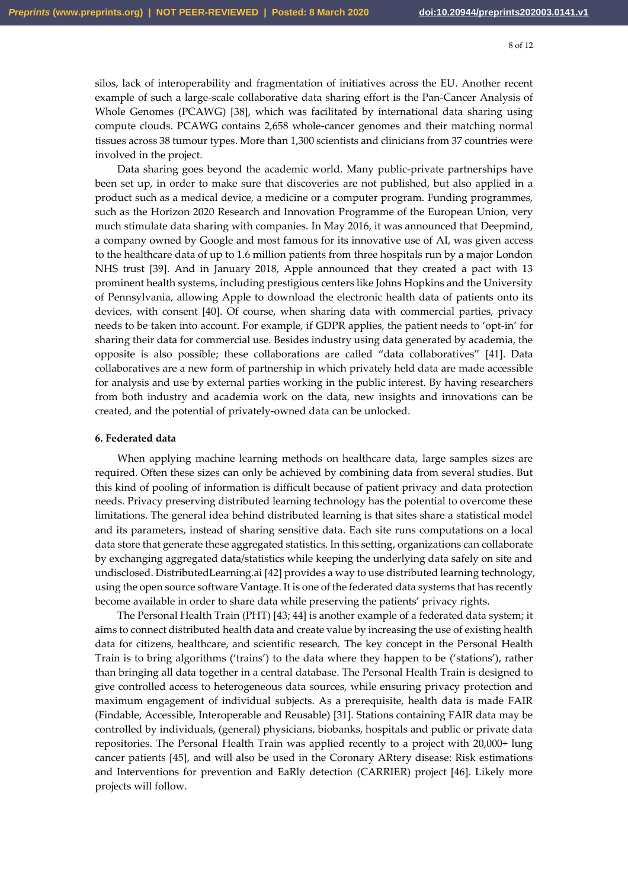silos, lack of interoperability and fragmentation of initiatives across the EU. Another recent example of such a large-scale collaborative data sharing effort is the Pan-Cancer Analysis of Whole Genomes (PCAWG) [38], which was facilitated by international data sharing using compute clouds. PCAWG contains 2,658 whole-cancer genomes and their matching normal tissues across 38 tumour types. More than 1,300 scientists and clinicians from 37 countries were involved in the project.

Data sharing goes beyond the academic world. Many public-private partnerships have been set up, in order to make sure that discoveries are not published, but also applied in a product such as a medical device, a medicine or a computer program. Funding programmes, such as the Horizon 2020 Research and Innovation Programme of the European Union, very much stimulate data sharing with companies. In May 2016, it was announced that Deepmind, a company owned by Google and most famous for its innovative use of AI, was given access to the healthcare data of up to 1.6 million patients from three hospitals run by a major London NHS trust [39]. And in January 2018, Apple announced that they created a pact with 13 prominent health systems, including prestigious centers like Johns Hopkins and the University of Pennsylvania, allowing Apple to download the electronic health data of patients onto its devices, with consent [40]. Of course, when sharing data with commercial parties, privacy needs to be taken into account. For example, if GDPR applies, the patient needs to 'opt-in' for sharing their data for commercial use. Besides industry using data generated by academia, the opposite is also possible; these collaborations are called "data collaboratives" [41]. Data collaboratives are a new form of partnership in which privately held data are made accessible for analysis and use by external parties working in the public interest. By having researchers from both industry and academia work on the data, new insights and innovations can be created, and the potential of privately-owned data can be unlocked.

## **6. Federated data**

When applying machine learning methods on healthcare data, large samples sizes are required. Often these sizes can only be achieved by combining data from several studies. But this kind of pooling of information is difficult because of patient privacy and data protection needs. Privacy preserving distributed learning technology has the potential to overcome these limitations. The general idea behind distributed learning is that sites share a statistical model and its parameters, instead of sharing sensitive data. Each site runs computations on a local data store that generate these aggregated statistics. In this setting, organizations can collaborate by exchanging aggregated data/statistics while keeping the underlying data safely on site and undisclosed. DistributedLearning.ai [42] provides a way to use distributed learning technology, using the open source software Vantage. It is one of the federated data systems that has recently become available in order to share data while preserving the patients' privacy rights.

The Personal Health Train (PHT) [43; 44] is another example of a federated data system; it aims to connect distributed health data and create value by increasing the use of existing health data for citizens, healthcare, and scientific research. The key concept in the Personal Health Train is to bring algorithms ('trains') to the data where they happen to be ('stations'), rather than bringing all data together in a central database. The Personal Health Train is designed to give controlled access to heterogeneous data sources, while ensuring privacy protection and maximum engagement of individual subjects. As a prerequisite, health data is made FAIR (Findable, Accessible, Interoperable and Reusable) [31]. Stations containing FAIR data may be controlled by individuals, (general) physicians, biobanks, hospitals and public or private data repositories. The Personal Health Train was applied recently to a project with 20,000+ lung cancer patients [45], and will also be used in the Coronary ARtery disease: Risk estimations and Interventions for prevention and EaRly detection (CARRIER) project [46]. Likely more projects will follow.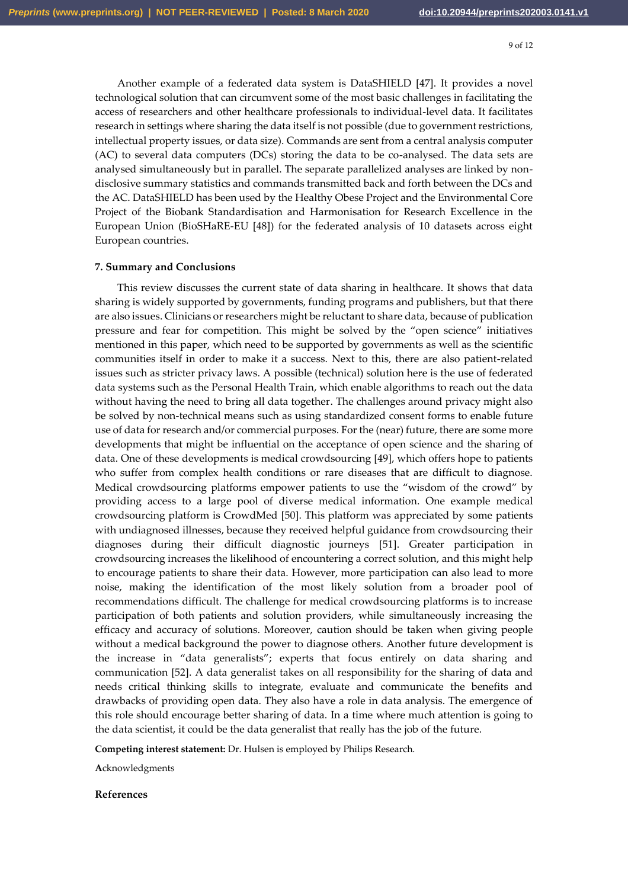Another example of a federated data system is DataSHIELD [47]. It provides a novel technological solution that can circumvent some of the most basic challenges in facilitating the access of researchers and other healthcare professionals to individual-level data. It facilitates research in settings where sharing the data itself is not possible (due to government restrictions, intellectual property issues, or data size). Commands are sent from a central analysis computer (AC) to several data computers (DCs) storing the data to be co-analysed. The data sets are analysed simultaneously but in parallel. The separate parallelized analyses are linked by nondisclosive summary statistics and commands transmitted back and forth between the DCs and the AC. DataSHIELD has been used by the Healthy Obese Project and the Environmental Core Project of the Biobank Standardisation and Harmonisation for Research Excellence in the European Union (BioSHaRE-EU [48]) for the federated analysis of 10 datasets across eight European countries.

# **7. Summary and Conclusions**

This review discusses the current state of data sharing in healthcare. It shows that data sharing is widely supported by governments, funding programs and publishers, but that there are also issues. Clinicians or researchers might be reluctant to share data, because of publication pressure and fear for competition. This might be solved by the "open science" initiatives mentioned in this paper, which need to be supported by governments as well as the scientific communities itself in order to make it a success. Next to this, there are also patient-related issues such as stricter privacy laws. A possible (technical) solution here is the use of federated data systems such as the Personal Health Train, which enable algorithms to reach out the data without having the need to bring all data together. The challenges around privacy might also be solved by non-technical means such as using standardized consent forms to enable future use of data for research and/or commercial purposes. For the (near) future, there are some more developments that might be influential on the acceptance of open science and the sharing of data. One of these developments is medical crowdsourcing [49], which offers hope to patients who suffer from complex health conditions or rare diseases that are difficult to diagnose. Medical crowdsourcing platforms empower patients to use the "wisdom of the crowd" by providing access to a large pool of diverse medical information. One example medical crowdsourcing platform is CrowdMed [50]. This platform was appreciated by some patients with undiagnosed illnesses, because they received helpful guidance from crowdsourcing their diagnoses during their difficult diagnostic journeys [51]. Greater participation in crowdsourcing increases the likelihood of encountering a correct solution, and this might help to encourage patients to share their data. However, more participation can also lead to more noise, making the identification of the most likely solution from a broader pool of recommendations difficult. The challenge for medical crowdsourcing platforms is to increase participation of both patients and solution providers, while simultaneously increasing the efficacy and accuracy of solutions. Moreover, caution should be taken when giving people without a medical background the power to diagnose others. Another future development is the increase in "data generalists"; experts that focus entirely on data sharing and communication [52]. A data generalist takes on all responsibility for the sharing of data and needs critical thinking skills to integrate, evaluate and communicate the benefits and drawbacks of providing open data. They also have a role in data analysis. The emergence of this role should encourage better sharing of data. In a time where much attention is going to the data scientist, it could be the data generalist that really has the job of the future.

**Competing interest statement:** Dr. Hulsen is employed by Philips Research.

**A**cknowledgments

**References**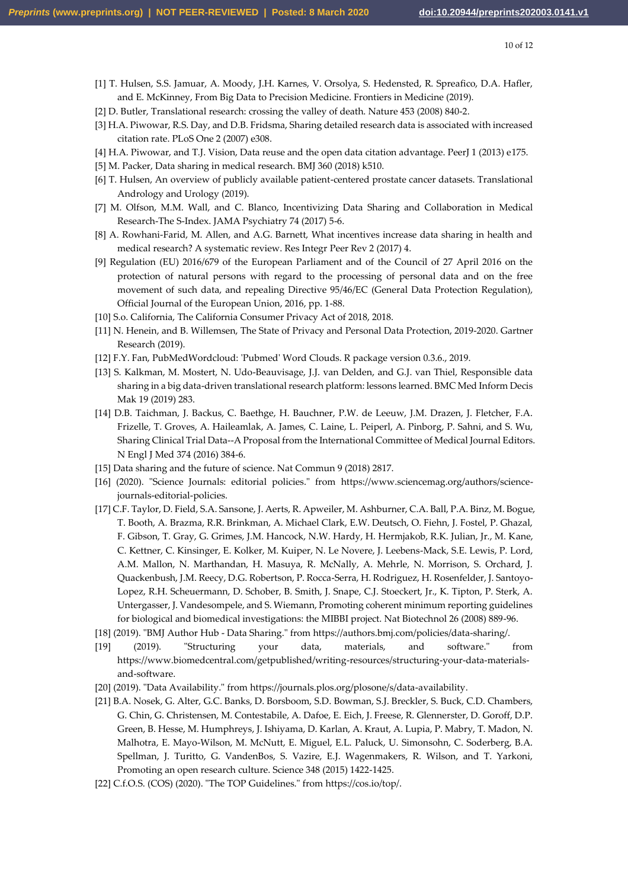- [1] T. Hulsen, S.S. Jamuar, A. Moody, J.H. Karnes, V. Orsolya, S. Hedensted, R. Spreafico, D.A. Hafler, and E. McKinney, From Big Data to Precision Medicine. Frontiers in Medicine (2019).
- [2] D. Butler, Translational research: crossing the valley of death. Nature 453 (2008) 840-2.
- [3] H.A. Piwowar, R.S. Day, and D.B. Fridsma, Sharing detailed research data is associated with increased citation rate. PLoS One 2 (2007) e308.
- [4] H.A. Piwowar, and T.J. Vision, Data reuse and the open data citation advantage. PeerJ 1 (2013) e175.
- [5] M. Packer, Data sharing in medical research. BMJ 360 (2018) k510.
- [6] T. Hulsen, An overview of publicly available patient-centered prostate cancer datasets. Translational Andrology and Urology (2019).
- [7] M. Olfson, M.M. Wall, and C. Blanco, Incentivizing Data Sharing and Collaboration in Medical Research-The S-Index. JAMA Psychiatry 74 (2017) 5-6.
- [8] A. Rowhani-Farid, M. Allen, and A.G. Barnett, What incentives increase data sharing in health and medical research? A systematic review. Res Integr Peer Rev 2 (2017) 4.
- [9] Regulation (EU) 2016/679 of the European Parliament and of the Council of 27 April 2016 on the protection of natural persons with regard to the processing of personal data and on the free movement of such data, and repealing Directive 95/46/EC (General Data Protection Regulation), Official Journal of the European Union, 2016, pp. 1-88.
- [10] S.o. California, The California Consumer Privacy Act of 2018, 2018.
- [11] N. Henein, and B. Willemsen, The State of Privacy and Personal Data Protection, 2019-2020. Gartner Research (2019).
- [12] F.Y. Fan, PubMedWordcloud: 'Pubmed' Word Clouds. R package version 0.3.6., 2019.
- [13] S. Kalkman, M. Mostert, N. Udo-Beauvisage, J.J. van Delden, and G.J. van Thiel, Responsible data sharing in a big data-driven translational research platform: lessons learned. BMC Med Inform Decis Mak 19 (2019) 283.
- [14] D.B. Taichman, J. Backus, C. Baethge, H. Bauchner, P.W. de Leeuw, J.M. Drazen, J. Fletcher, F.A. Frizelle, T. Groves, A. Haileamlak, A. James, C. Laine, L. Peiperl, A. Pinborg, P. Sahni, and S. Wu, Sharing Clinical Trial Data--A Proposal from the International Committee of Medical Journal Editors. N Engl J Med 374 (2016) 384-6.
- [15] Data sharing and the future of science. Nat Commun 9 (2018) 2817.
- [16] (2020). "Science Journals: editorial policies." from [https://www.sciencemag.org/authors/science](https://www.sciencemag.org/authors/science-journals-editorial-policies)[journals-editorial-policies.](https://www.sciencemag.org/authors/science-journals-editorial-policies)
- [17] C.F. Taylor, D. Field, S.A. Sansone, J. Aerts, R. Apweiler, M. Ashburner, C.A. Ball, P.A. Binz, M. Bogue, T. Booth, A. Brazma, R.R. Brinkman, A. Michael Clark, E.W. Deutsch, O. Fiehn, J. Fostel, P. Ghazal, F. Gibson, T. Gray, G. Grimes, J.M. Hancock, N.W. Hardy, H. Hermjakob, R.K. Julian, Jr., M. Kane, C. Kettner, C. Kinsinger, E. Kolker, M. Kuiper, N. Le Novere, J. Leebens-Mack, S.E. Lewis, P. Lord, A.M. Mallon, N. Marthandan, H. Masuya, R. McNally, A. Mehrle, N. Morrison, S. Orchard, J. Quackenbush, J.M. Reecy, D.G. Robertson, P. Rocca-Serra, H. Rodriguez, H. Rosenfelder, J. Santoyo-Lopez, R.H. Scheuermann, D. Schober, B. Smith, J. Snape, C.J. Stoeckert, Jr., K. Tipton, P. Sterk, A. Untergasser, J. Vandesompele, and S. Wiemann, Promoting coherent minimum reporting guidelines for biological and biomedical investigations: the MIBBI project. Nat Biotechnol 26 (2008) 889-96.
- [18] (2019). "BMJ Author Hub Data Sharing." fro[m https://authors.bmj.com/policies/data-sharing/.](https://authors.bmj.com/policies/data-sharing/)
- [19] (2019). "Structuring your data, materials, and software." from [https://www.biomedcentral.com/getpublished/writing-resources/structuring-your-data-materials](https://www.biomedcentral.com/getpublished/writing-resources/structuring-your-data-materials-and-software)[and-software.](https://www.biomedcentral.com/getpublished/writing-resources/structuring-your-data-materials-and-software)
- [20] (2019). "Data Availability." from [https://journals.plos.org/plosone/s/data-availability.](https://journals.plos.org/plosone/s/data-availability)
- [21] B.A. Nosek, G. Alter, G.C. Banks, D. Borsboom, S.D. Bowman, S.J. Breckler, S. Buck, C.D. Chambers, G. Chin, G. Christensen, M. Contestabile, A. Dafoe, E. Eich, J. Freese, R. Glennerster, D. Goroff, D.P. Green, B. Hesse, M. Humphreys, J. Ishiyama, D. Karlan, A. Kraut, A. Lupia, P. Mabry, T. Madon, N. Malhotra, E. Mayo-Wilson, M. McNutt, E. Miguel, E.L. Paluck, U. Simonsohn, C. Soderberg, B.A. Spellman, J. Turitto, G. VandenBos, S. Vazire, E.J. Wagenmakers, R. Wilson, and T. Yarkoni, Promoting an open research culture. Science 348 (2015) 1422-1425.
- [22] C.f.O.S. (COS) (2020). "The TOP Guidelines." fro[m https://cos.io/top/.](https://cos.io/top/)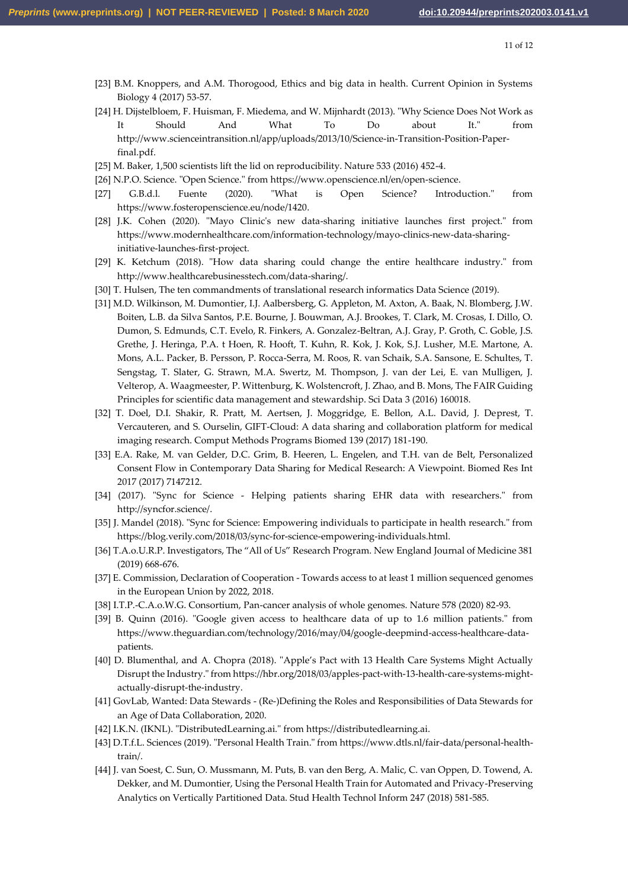- [23] B.M. Knoppers, and A.M. Thorogood, Ethics and big data in health. Current Opinion in Systems Biology 4 (2017) 53-57.
- [24] H. Dijstelbloem, F. Huisman, F. Miedema, and W. Mijnhardt (2013). "Why Science Does Not Work as It Should And What To Do about It." from [http://www.scienceintransition.nl/app/uploads/2013/10/Science-in-Transition-Position-Paper](http://www.scienceintransition.nl/app/uploads/2013/10/Science-in-Transition-Position-Paper-final.pdf)[final.pdf.](http://www.scienceintransition.nl/app/uploads/2013/10/Science-in-Transition-Position-Paper-final.pdf)
- [25] M. Baker, 1,500 scientists lift the lid on reproducibility. Nature 533 (2016) 452-4.
- [26] N.P.O. Science. "Open Science." fro[m https://www.openscience.nl/en/open-science.](https://www.openscience.nl/en/open-science)
- [27] G.B.d.l. Fuente (2020). "What is Open Science? Introduction." from [https://www.fosteropenscience.eu/node/1420.](https://www.fosteropenscience.eu/node/1420)
- [28] J.K. Cohen (2020). "Mayo Clinic's new data-sharing initiative launches first project." from [https://www.modernhealthcare.com/information-technology/mayo-clinics-new-data-sharing](https://www.modernhealthcare.com/information-technology/mayo-clinics-new-data-sharing-initiative-launches-first-project)[initiative-launches-first-project.](https://www.modernhealthcare.com/information-technology/mayo-clinics-new-data-sharing-initiative-launches-first-project)
- [29] K. Ketchum (2018). "How data sharing could change the entire healthcare industry." from [http://www.healthcarebusinesstech.com/data-sharing/.](http://www.healthcarebusinesstech.com/data-sharing/)
- [30] T. Hulsen, The ten commandments of translational research informatics Data Science (2019).
- [31] M.D. Wilkinson, M. Dumontier, I.J. Aalbersberg, G. Appleton, M. Axton, A. Baak, N. Blomberg, J.W. Boiten, L.B. da Silva Santos, P.E. Bourne, J. Bouwman, A.J. Brookes, T. Clark, M. Crosas, I. Dillo, O. Dumon, S. Edmunds, C.T. Evelo, R. Finkers, A. Gonzalez-Beltran, A.J. Gray, P. Groth, C. Goble, J.S. Grethe, J. Heringa, P.A. t Hoen, R. Hooft, T. Kuhn, R. Kok, J. Kok, S.J. Lusher, M.E. Martone, A. Mons, A.L. Packer, B. Persson, P. Rocca-Serra, M. Roos, R. van Schaik, S.A. Sansone, E. Schultes, T. Sengstag, T. Slater, G. Strawn, M.A. Swertz, M. Thompson, J. van der Lei, E. van Mulligen, J. Velterop, A. Waagmeester, P. Wittenburg, K. Wolstencroft, J. Zhao, and B. Mons, The FAIR Guiding Principles for scientific data management and stewardship. Sci Data 3 (2016) 160018.
- [32] T. Doel, D.I. Shakir, R. Pratt, M. Aertsen, J. Moggridge, E. Bellon, A.L. David, J. Deprest, T. Vercauteren, and S. Ourselin, GIFT-Cloud: A data sharing and collaboration platform for medical imaging research. Comput Methods Programs Biomed 139 (2017) 181-190.
- [33] E.A. Rake, M. van Gelder, D.C. Grim, B. Heeren, L. Engelen, and T.H. van de Belt, Personalized Consent Flow in Contemporary Data Sharing for Medical Research: A Viewpoint. Biomed Res Int 2017 (2017) 7147212.
- [34] (2017). "Sync for Science Helping patients sharing EHR data with researchers." from [http://syncfor.science/.](http://syncfor.science/)
- [35] J. Mandel (2018). "Sync for Science: Empowering individuals to participate in health research." from [https://blog.verily.com/2018/03/sync-for-science-empowering-individuals.html.](https://blog.verily.com/2018/03/sync-for-science-empowering-individuals.html)
- [36] T.A.o.U.R.P. Investigators, The "All of Us" Research Program. New England Journal of Medicine 381 (2019) 668-676.
- [37] E. Commission, Declaration of Cooperation Towards access to at least 1 million sequenced genomes in the European Union by 2022, 2018.
- [38] I.T.P.-C.A.o.W.G. Consortium, Pan-cancer analysis of whole genomes. Nature 578 (2020) 82-93.
- [39] B. Quinn (2016). "Google given access to healthcare data of up to 1.6 million patients." from [https://www.theguardian.com/technology/2016/may/04/google-deepmind-access-healthcare-data](https://www.theguardian.com/technology/2016/may/04/google-deepmind-access-healthcare-data-patients)[patients.](https://www.theguardian.com/technology/2016/may/04/google-deepmind-access-healthcare-data-patients)
- [40] D. Blumenthal, and A. Chopra (2018). "Apple's Pact with 13 Health Care Systems Might Actually Disrupt the Industry." fro[m https://hbr.org/2018/03/apples-pact-with-13-health-care-systems-might](https://hbr.org/2018/03/apples-pact-with-13-health-care-systems-might-actually-disrupt-the-industry)[actually-disrupt-the-industry.](https://hbr.org/2018/03/apples-pact-with-13-health-care-systems-might-actually-disrupt-the-industry)
- [41] GovLab, Wanted: Data Stewards (Re-)Defining the Roles and Responsibilities of Data Stewards for an Age of Data Collaboration, 2020.
- [42] I.K.N. (IKNL). "DistributedLearning.ai." from [https://distributedlearning.ai.](https://distributedlearning.ai/)
- [43] D.T.f.L. Sciences (2019). "Personal Health Train." from [https://www.dtls.nl/fair-data/personal-health](https://www.dtls.nl/fair-data/personal-health-train/)[train/.](https://www.dtls.nl/fair-data/personal-health-train/)
- [44] J. van Soest, C. Sun, O. Mussmann, M. Puts, B. van den Berg, A. Malic, C. van Oppen, D. Towend, A. Dekker, and M. Dumontier, Using the Personal Health Train for Automated and Privacy-Preserving Analytics on Vertically Partitioned Data. Stud Health Technol Inform 247 (2018) 581-585.